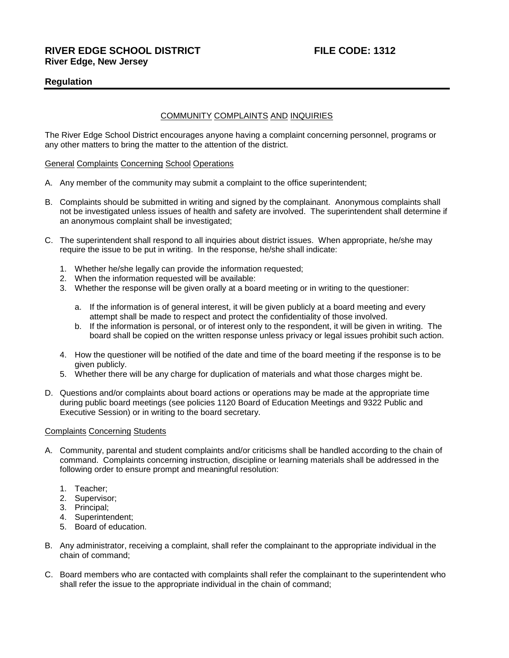# **RIVER EDGE SCHOOL DISTRICT FILE CODE: 1312 River Edge, New Jersey**

# **Regulation**

# COMMUNITY COMPLAINTS AND INQUIRIES

The River Edge School District encourages anyone having a complaint concerning personnel, programs or any other matters to bring the matter to the attention of the district.

#### General Complaints Concerning School Operations

- A. Any member of the community may submit a complaint to the office superintendent;
- B. Complaints should be submitted in writing and signed by the complainant. Anonymous complaints shall not be investigated unless issues of health and safety are involved. The superintendent shall determine if an anonymous complaint shall be investigated;
- C. The superintendent shall respond to all inquiries about district issues. When appropriate, he/she may require the issue to be put in writing. In the response, he/she shall indicate:
	- 1. Whether he/she legally can provide the information requested;
	- 2. When the information requested will be available:
	- 3. Whether the response will be given orally at a board meeting or in writing to the questioner:
		- a. If the information is of general interest, it will be given publicly at a board meeting and every attempt shall be made to respect and protect the confidentiality of those involved.
		- b. If the information is personal, or of interest only to the respondent, it will be given in writing. The board shall be copied on the written response unless privacy or legal issues prohibit such action.
	- 4. How the questioner will be notified of the date and time of the board meeting if the response is to be given publicly.
	- 5. Whether there will be any charge for duplication of materials and what those charges might be.
- D. Questions and/or complaints about board actions or operations may be made at the appropriate time during public board meetings (see policies 1120 Board of Education Meetings and 9322 Public and Executive Session) or in writing to the board secretary.

### Complaints Concerning Students

- A. Community, parental and student complaints and/or criticisms shall be handled according to the chain of command. Complaints concerning instruction, discipline or learning materials shall be addressed in the following order to ensure prompt and meaningful resolution:
	- 1. Teacher;
	- 2. Supervisor;
	- 3. Principal;
	- 4. Superintendent;
	- 5. Board of education.
- B. Any administrator, receiving a complaint, shall refer the complainant to the appropriate individual in the chain of command;
- C. Board members who are contacted with complaints shall refer the complainant to the superintendent who shall refer the issue to the appropriate individual in the chain of command;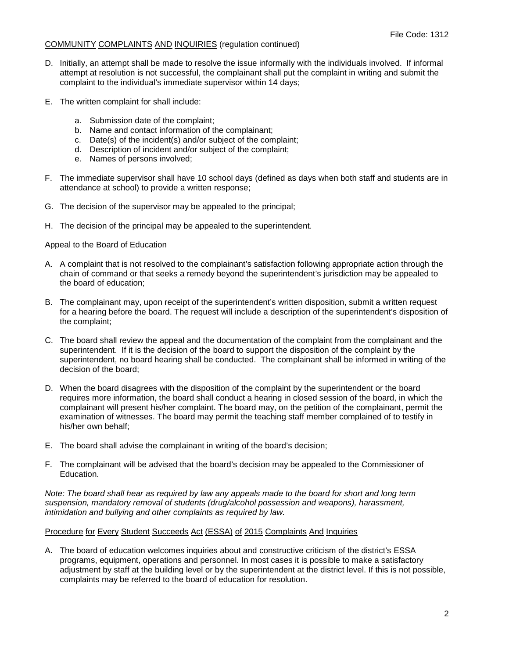## COMMUNITY COMPLAINTS AND INQUIRIES (regulation continued)

- D. Initially, an attempt shall be made to resolve the issue informally with the individuals involved. If informal attempt at resolution is not successful, the complainant shall put the complaint in writing and submit the complaint to the individual's immediate supervisor within 14 days;
- E. The written complaint for shall include:
	- a. Submission date of the complaint;
	- b. Name and contact information of the complainant;
	- c. Date(s) of the incident(s) and/or subject of the complaint;
	- d. Description of incident and/or subject of the complaint;
	- e. Names of persons involved;
- F. The immediate supervisor shall have 10 school days (defined as days when both staff and students are in attendance at school) to provide a written response;
- G. The decision of the supervisor may be appealed to the principal;
- H. The decision of the principal may be appealed to the superintendent.

# Appeal to the Board of Education

- A. A complaint that is not resolved to the complainant's satisfaction following appropriate action through the chain of command or that seeks a remedy beyond the superintendent's jurisdiction may be appealed to the board of education;
- B. The complainant may, upon receipt of the superintendent's written disposition, submit a written request for a hearing before the board. The request will include a description of the superintendent's disposition of the complaint;
- C. The board shall review the appeal and the documentation of the complaint from the complainant and the superintendent. If it is the decision of the board to support the disposition of the complaint by the superintendent, no board hearing shall be conducted. The complainant shall be informed in writing of the decision of the board;
- D. When the board disagrees with the disposition of the complaint by the superintendent or the board requires more information, the board shall conduct a hearing in closed session of the board, in which the complainant will present his/her complaint. The board may, on the petition of the complainant, permit the examination of witnesses. The board may permit the teaching staff member complained of to testify in his/her own behalf;
- E. The board shall advise the complainant in writing of the board's decision;
- F. The complainant will be advised that the board's decision may be appealed to the Commissioner of Education.

*Note: The board shall hear as required by law any appeals made to the board for short and long term suspension, mandatory removal of students (drug/alcohol possession and weapons), harassment, intimidation and bullying and other complaints as required by law.* 

# Procedure for Every Student Succeeds Act (ESSA) of 2015 Complaints And Inquiries

A. The board of education welcomes inquiries about and constructive criticism of the district's ESSA programs, equipment, operations and personnel. In most cases it is possible to make a satisfactory adjustment by staff at the building level or by the superintendent at the district level. If this is not possible, complaints may be referred to the board of education for resolution.